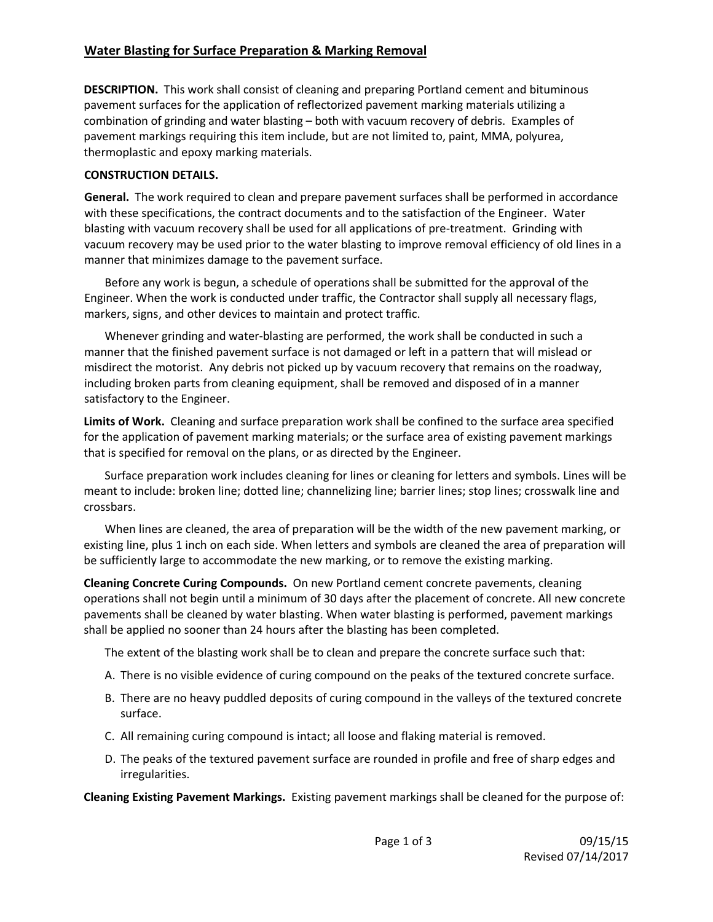# **Water Blasting for Surface Preparation & Marking Removal**

**DESCRIPTION.** This work shall consist of cleaning and preparing Portland cement and bituminous pavement surfaces for the application of reflectorized pavement marking materials utilizing a combination of grinding and water blasting – both with vacuum recovery of debris. Examples of pavement markings requiring this item include, but are not limited to, paint, MMA, polyurea, thermoplastic and epoxy marking materials.

## **CONSTRUCTION DETAILS.**

**General.** The work required to clean and prepare pavement surfaces shall be performed in accordance with these specifications, the contract documents and to the satisfaction of the Engineer. Water blasting with vacuum recovery shall be used for all applications of pre‐treatment. Grinding with vacuum recovery may be used prior to the water blasting to improve removal efficiency of old lines in a manner that minimizes damage to the pavement surface.

Before any work is begun, a schedule of operations shall be submitted for the approval of the Engineer. When the work is conducted under traffic, the Contractor shall supply all necessary flags, markers, signs, and other devices to maintain and protect traffic.

 Whenever grinding and water‐blasting are performed, the work shall be conducted in such a manner that the finished pavement surface is not damaged or left in a pattern that will mislead or misdirect the motorist. Any debris not picked up by vacuum recovery that remains on the roadway, including broken parts from cleaning equipment, shall be removed and disposed of in a manner satisfactory to the Engineer.

**Limits of Work.** Cleaning and surface preparation work shall be confined to the surface area specified for the application of pavement marking materials; or the surface area of existing pavement markings that is specified for removal on the plans, or as directed by the Engineer.

Surface preparation work includes cleaning for lines or cleaning for letters and symbols. Lines will be meant to include: broken line; dotted line; channelizing line; barrier lines; stop lines; crosswalk line and crossbars.

When lines are cleaned, the area of preparation will be the width of the new pavement marking, or existing line, plus 1 inch on each side. When letters and symbols are cleaned the area of preparation will be sufficiently large to accommodate the new marking, or to remove the existing marking.

**Cleaning Concrete Curing Compounds.** On new Portland cement concrete pavements, cleaning operations shall not begin until a minimum of 30 days after the placement of concrete. All new concrete pavements shall be cleaned by water blasting. When water blasting is performed, pavement markings shall be applied no sooner than 24 hours after the blasting has been completed.

The extent of the blasting work shall be to clean and prepare the concrete surface such that:

- A. There is no visible evidence of curing compound on the peaks of the textured concrete surface.
- B. There are no heavy puddled deposits of curing compound in the valleys of the textured concrete surface.
- C. All remaining curing compound is intact; all loose and flaking material is removed.
- D. The peaks of the textured pavement surface are rounded in profile and free of sharp edges and irregularities.

**Cleaning Existing Pavement Markings.** Existing pavement markings shall be cleaned for the purpose of: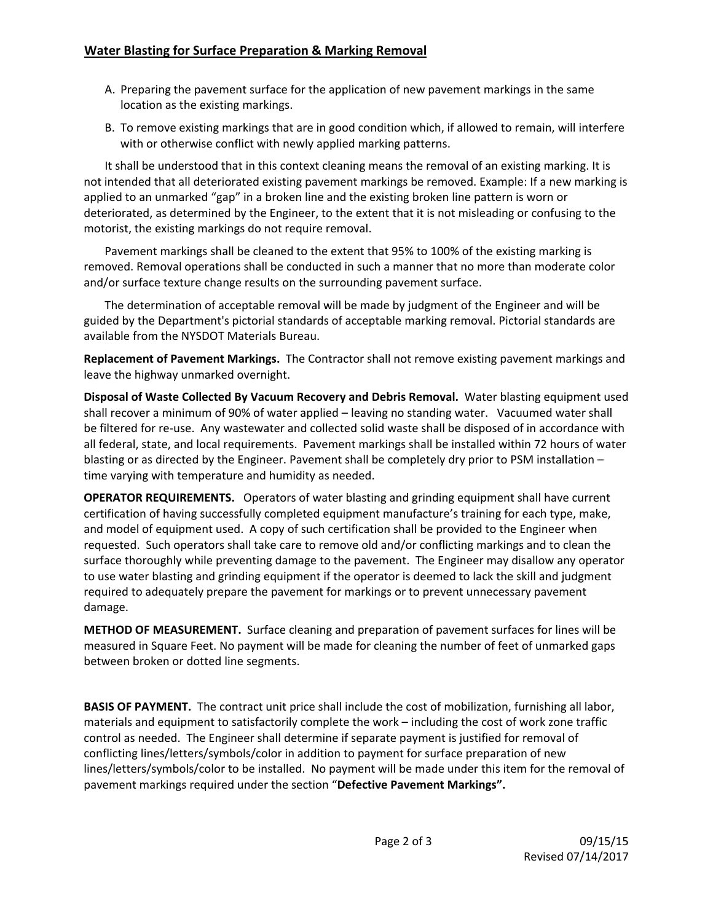- A. Preparing the pavement surface for the application of new pavement markings in the same location as the existing markings.
- B. To remove existing markings that are in good condition which, if allowed to remain, will interfere with or otherwise conflict with newly applied marking patterns.

It shall be understood that in this context cleaning means the removal of an existing marking. It is not intended that all deteriorated existing pavement markings be removed. Example: If a new marking is applied to an unmarked "gap" in a broken line and the existing broken line pattern is worn or deteriorated, as determined by the Engineer, to the extent that it is not misleading or confusing to the motorist, the existing markings do not require removal.

Pavement markings shall be cleaned to the extent that 95% to 100% of the existing marking is removed. Removal operations shall be conducted in such a manner that no more than moderate color and/or surface texture change results on the surrounding pavement surface.

The determination of acceptable removal will be made by judgment of the Engineer and will be guided by the Department's pictorial standards of acceptable marking removal. Pictorial standards are available from the NYSDOT Materials Bureau.

**Replacement of Pavement Markings.** The Contractor shall not remove existing pavement markings and leave the highway unmarked overnight.

**Disposal of Waste Collected By Vacuum Recovery and Debris Removal.** Water blasting equipment used shall recover a minimum of 90% of water applied – leaving no standing water. Vacuumed water shall be filtered for re-use. Any wastewater and collected solid waste shall be disposed of in accordance with all federal, state, and local requirements. Pavement markings shall be installed within 72 hours of water blasting or as directed by the Engineer. Pavement shall be completely dry prior to PSM installation – time varying with temperature and humidity as needed.

**OPERATOR REQUIREMENTS.**  Operators of water blasting and grinding equipment shall have current certification of having successfully completed equipment manufacture's training for each type, make, and model of equipment used. A copy of such certification shall be provided to the Engineer when requested. Such operators shall take care to remove old and/or conflicting markings and to clean the surface thoroughly while preventing damage to the pavement. The Engineer may disallow any operator to use water blasting and grinding equipment if the operator is deemed to lack the skill and judgment required to adequately prepare the pavement for markings or to prevent unnecessary pavement damage.

**METHOD OF MEASUREMENT.** Surface cleaning and preparation of pavement surfaces for lines will be measured in Square Feet. No payment will be made for cleaning the number of feet of unmarked gaps between broken or dotted line segments.

**BASIS OF PAYMENT.** The contract unit price shall include the cost of mobilization, furnishing all labor, materials and equipment to satisfactorily complete the work – including the cost of work zone traffic control as needed. The Engineer shall determine if separate payment is justified for removal of conflicting lines/letters/symbols/color in addition to payment for surface preparation of new lines/letters/symbols/color to be installed. No payment will be made under this item for the removal of pavement markings required under the section "**Defective Pavement Markings".**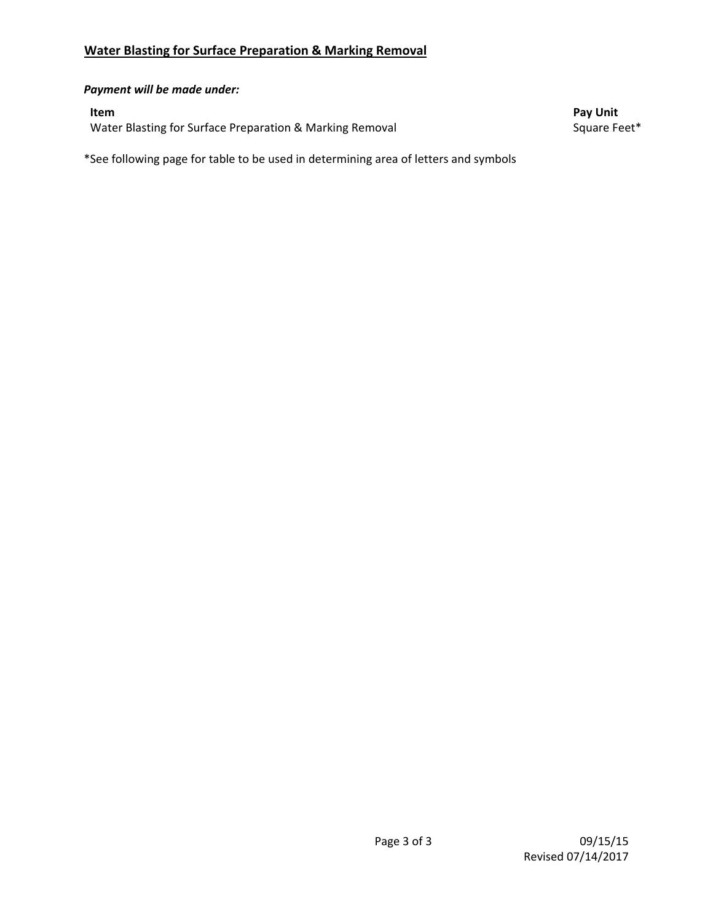## *Payment will be made under:*

Water Blasting for Surface Preparation & Marking Removal Square Feet\* Square Feet\*

**Item Pay Unit**

\*See following page for table to be used in determining area of letters and symbols